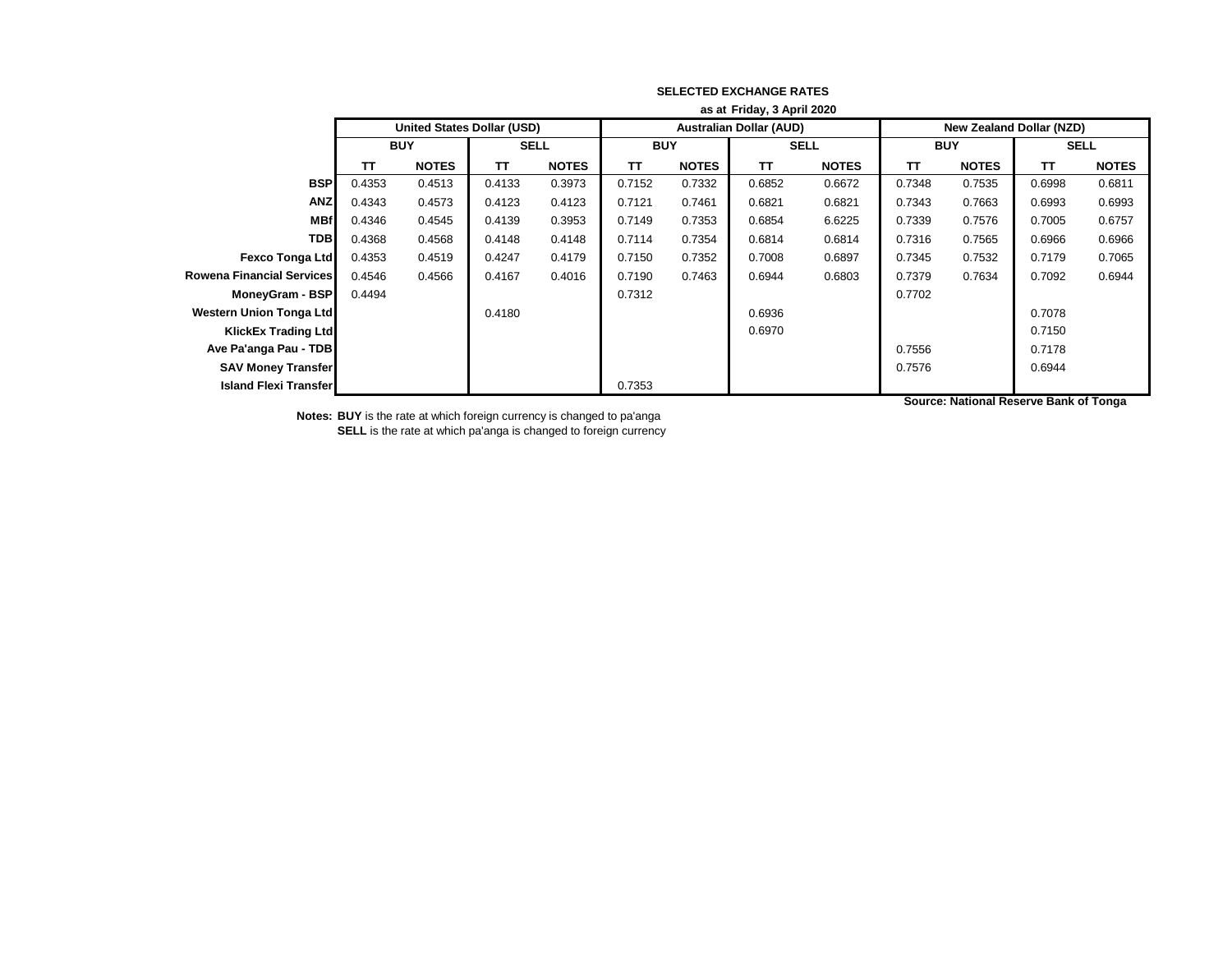|                                  | as at Friday, 3 April 2020 |                                   |             |              |                                |              |             |              |                          |              |             |              |
|----------------------------------|----------------------------|-----------------------------------|-------------|--------------|--------------------------------|--------------|-------------|--------------|--------------------------|--------------|-------------|--------------|
|                                  |                            | <b>United States Dollar (USD)</b> |             |              | <b>Australian Dollar (AUD)</b> |              |             |              | New Zealand Dollar (NZD) |              |             |              |
|                                  | <b>BUY</b>                 |                                   | <b>SELL</b> |              | <b>BUY</b>                     |              | <b>SELL</b> |              | <b>BUY</b>               |              | <b>SELL</b> |              |
|                                  | TΤ                         | <b>NOTES</b>                      | TΤ          | <b>NOTES</b> | ΤT                             | <b>NOTES</b> | TΤ          | <b>NOTES</b> | TΤ                       | <b>NOTES</b> | TΤ          | <b>NOTES</b> |
| <b>BSP</b>                       | 0.4353                     | 0.4513                            | 0.4133      | 0.3973       | 0.7152                         | 0.7332       | 0.6852      | 0.6672       | 0.7348                   | 0.7535       | 0.6998      | 0.6811       |
| <b>ANZ</b>                       | 0.4343                     | 0.4573                            | 0.4123      | 0.4123       | 0.7121                         | 0.7461       | 0.6821      | 0.6821       | 0.7343                   | 0.7663       | 0.6993      | 0.6993       |
| <b>MBf</b>                       | 0.4346                     | 0.4545                            | 0.4139      | 0.3953       | 0.7149                         | 0.7353       | 0.6854      | 6.6225       | 0.7339                   | 0.7576       | 0.7005      | 0.6757       |
| <b>TDB</b>                       | 0.4368                     | 0.4568                            | 0.4148      | 0.4148       | 0.7114                         | 0.7354       | 0.6814      | 0.6814       | 0.7316                   | 0.7565       | 0.6966      | 0.6966       |
| <b>Fexco Tonga Ltd</b>           | 0.4353                     | 0.4519                            | 0.4247      | 0.4179       | 0.7150                         | 0.7352       | 0.7008      | 0.6897       | 0.7345                   | 0.7532       | 0.7179      | 0.7065       |
| <b>Rowena Financial Services</b> | 0.4546                     | 0.4566                            | 0.4167      | 0.4016       | 0.7190                         | 0.7463       | 0.6944      | 0.6803       | 0.7379                   | 0.7634       | 0.7092      | 0.6944       |
| <b>MoneyGram - BSP</b>           | 0.4494                     |                                   |             |              | 0.7312                         |              |             |              | 0.7702                   |              |             |              |
| <b>Western Union Tonga Ltd</b>   |                            |                                   | 0.4180      |              |                                |              | 0.6936      |              |                          |              | 0.7078      |              |
| <b>KlickEx Trading Ltd</b>       |                            |                                   |             |              |                                |              | 0.6970      |              |                          |              | 0.7150      |              |
| Ave Pa'anga Pau - TDB            |                            |                                   |             |              |                                |              |             |              | 0.7556                   |              | 0.7178      |              |
| <b>SAV Money Transfer</b>        |                            |                                   |             |              |                                |              |             |              | 0.7576                   |              | 0.6944      |              |
| <b>Island Flexi Transfer</b>     |                            |                                   |             |              | 0.7353                         |              |             |              |                          |              |             |              |

**SELECTED EXCHANGE RATES**

**Source: National Reserve Bank of Tonga**

**Notes: BUY** is the rate at which foreign currency is changed to pa'anga **SELL** is the rate at which pa'anga is changed to foreign currency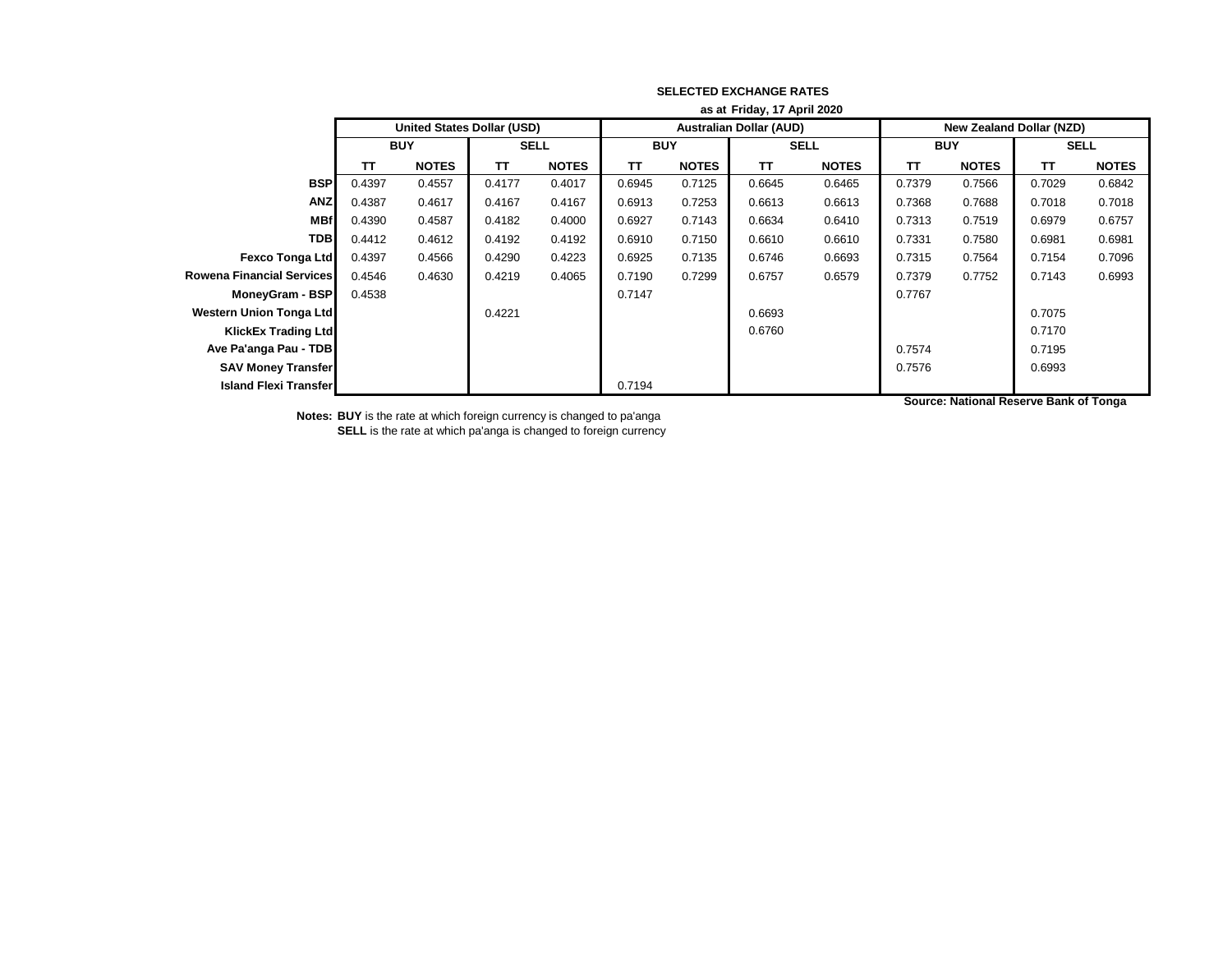|                                  | as at Friday, 17 April 2020 |                                   |             |              |                                |              |             |              |                          |              |             |              |
|----------------------------------|-----------------------------|-----------------------------------|-------------|--------------|--------------------------------|--------------|-------------|--------------|--------------------------|--------------|-------------|--------------|
|                                  |                             | <b>United States Dollar (USD)</b> |             |              | <b>Australian Dollar (AUD)</b> |              |             |              | New Zealand Dollar (NZD) |              |             |              |
|                                  | <b>BUY</b>                  |                                   | <b>SELL</b> |              | <b>BUY</b>                     |              | <b>SELL</b> |              | <b>BUY</b>               |              | <b>SELL</b> |              |
|                                  | TΤ                          | <b>NOTES</b>                      | TT.         | <b>NOTES</b> | TΤ                             | <b>NOTES</b> | <b>TT</b>   | <b>NOTES</b> | TΤ                       | <b>NOTES</b> | <b>TT</b>   | <b>NOTES</b> |
| <b>BSP</b>                       | 0.4397                      | 0.4557                            | 0.4177      | 0.4017       | 0.6945                         | 0.7125       | 0.6645      | 0.6465       | 0.7379                   | 0.7566       | 0.7029      | 0.6842       |
| <b>ANZ</b>                       | 0.4387                      | 0.4617                            | 0.4167      | 0.4167       | 0.6913                         | 0.7253       | 0.6613      | 0.6613       | 0.7368                   | 0.7688       | 0.7018      | 0.7018       |
| <b>MBf</b>                       | 0.4390                      | 0.4587                            | 0.4182      | 0.4000       | 0.6927                         | 0.7143       | 0.6634      | 0.6410       | 0.7313                   | 0.7519       | 0.6979      | 0.6757       |
| <b>TDB</b>                       | 0.4412                      | 0.4612                            | 0.4192      | 0.4192       | 0.6910                         | 0.7150       | 0.6610      | 0.6610       | 0.7331                   | 0.7580       | 0.6981      | 0.6981       |
| <b>Fexco Tonga Ltd</b>           | 0.4397                      | 0.4566                            | 0.4290      | 0.4223       | 0.6925                         | 0.7135       | 0.6746      | 0.6693       | 0.7315                   | 0.7564       | 0.7154      | 0.7096       |
| <b>Rowena Financial Services</b> | 0.4546                      | 0.4630                            | 0.4219      | 0.4065       | 0.7190                         | 0.7299       | 0.6757      | 0.6579       | 0.7379                   | 0.7752       | 0.7143      | 0.6993       |
| MoneyGram - BSP                  | 0.4538                      |                                   |             |              | 0.7147                         |              |             |              | 0.7767                   |              |             |              |
| <b>Western Union Tonga Ltd</b>   |                             |                                   | 0.4221      |              |                                |              | 0.6693      |              |                          |              | 0.7075      |              |
| <b>KlickEx Trading Ltd</b>       |                             |                                   |             |              |                                |              | 0.6760      |              |                          |              | 0.7170      |              |
| Ave Pa'anga Pau - TDB            |                             |                                   |             |              |                                |              |             |              | 0.7574                   |              | 0.7195      |              |
| <b>SAV Money Transfer</b>        |                             |                                   |             |              |                                |              |             |              | 0.7576                   |              | 0.6993      |              |
| <b>Island Flexi Transfer</b>     |                             |                                   |             |              | 0.7194                         |              |             |              |                          |              |             |              |

**SELECTED EXCHANGE RATES**

**Source: National Reserve Bank of Tonga**

**Notes: BUY** is the rate at which foreign currency is changed to pa'anga **SELL** is the rate at which pa'anga is changed to foreign currency